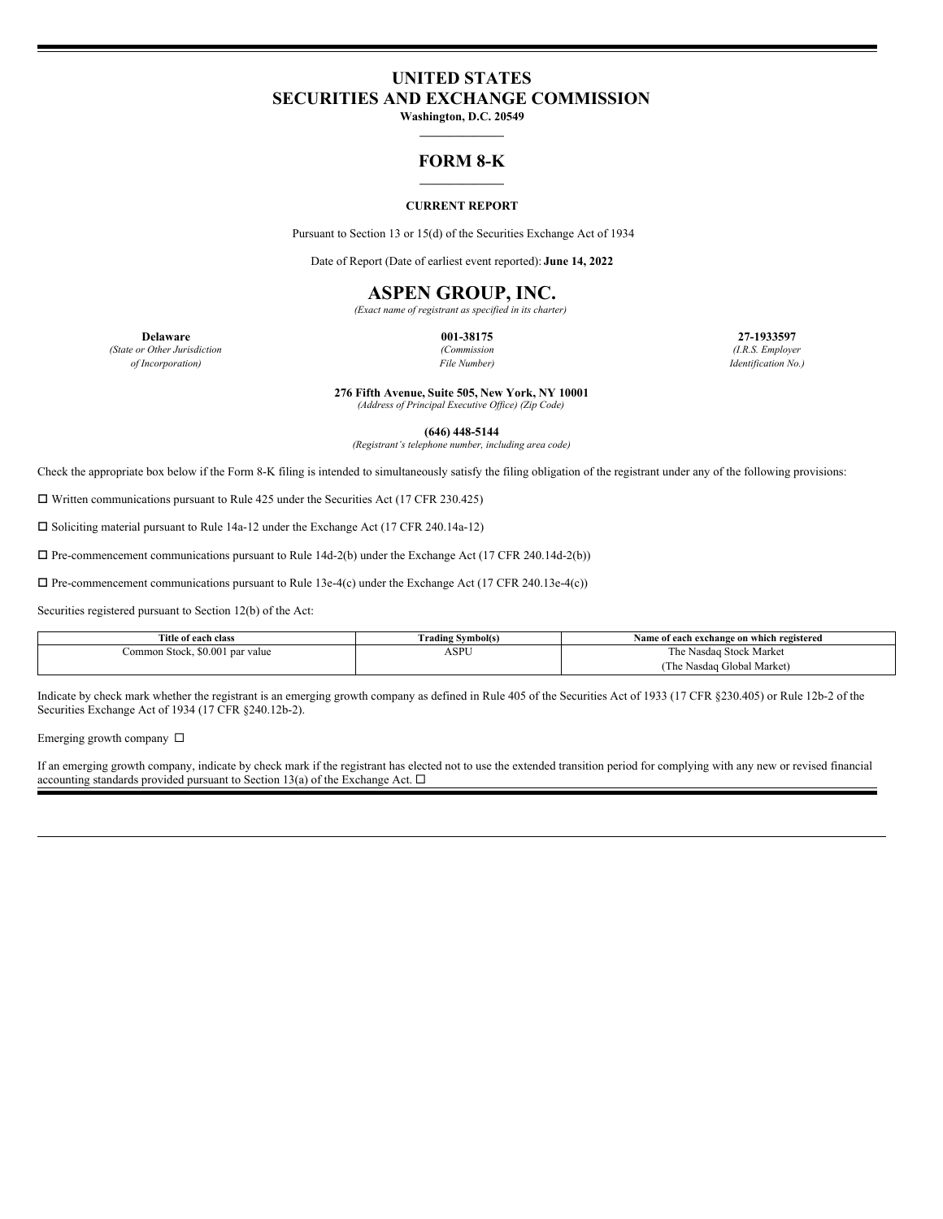# **UNITED STATES SECURITIES AND EXCHANGE COMMISSION**

**Washington, D.C. 20549 \_\_\_\_\_\_\_\_\_\_\_\_\_\_**

### **FORM 8-K \_\_\_\_\_\_\_\_\_\_\_\_\_\_**

#### **CURRENT REPORT**

Pursuant to Section 13 or 15(d) of the Securities Exchange Act of 1934

Date of Report (Date of earliest event reported): **June 14, 2022**

## **ASPEN GROUP, INC.**

*(Exact name of registrant as specified in its charter)*

**Delaware 001-38175 27-1933597** *(State or Other Jurisdiction (Commission (I.R.S. Employer of Incorporation) File Number) Identification No.)*

**276 Fifth Avenue, Suite 505, New York, NY 10001**

*(Address of Principal Executive Of ice) (Zip Code)*

**(646) 448-5144**

*(Registrant's telephone number, including area code)*

Check the appropriate box below if the Form 8-K filing is intended to simultaneously satisfy the filing obligation of the registrant under any of the following provisions:

 $\Box$  Written communications pursuant to Rule 425 under the Securities Act (17 CFR 230.425)

 $\square$  Soliciting material pursuant to Rule 14a-12 under the Exchange Act (17 CFR 240.14a-12)

 $\Box$  Pre-commencement communications pursuant to Rule 14d-2(b) under the Exchange Act (17 CFR 240.14d-2(b))

 $\Box$  Pre-commencement communications pursuant to Rule 13e-4(c) under the Exchange Act (17 CFR 240.13e-4(c))

Securities registered pursuant to Section 12(b) of the Act:

| Title of each class             | [ˈrading Svmbol(s) | Name of each exchange on which registered |
|---------------------------------|--------------------|-------------------------------------------|
| Common Stock, \$0.001 par value | ASPU               | The Nasdag Stock Market                   |
|                                 |                    | (The Nasdaq Global Market)                |

Indicate by check mark whether the registrant is an emerging growth company as defined in Rule 405 of the Securities Act of 1933 (17 CFR §230.405) or Rule 12b-2 of the Securities Exchange Act of 1934 (17 CFR §240.12b-2).

Emerging growth company  $\square$ 

If an emerging growth company, indicate by check mark if the registrant has elected not to use the extended transition period for complying with any new or revised financial accounting standards provided pursuant to Section 13(a) of the Exchange Act.  $\Box$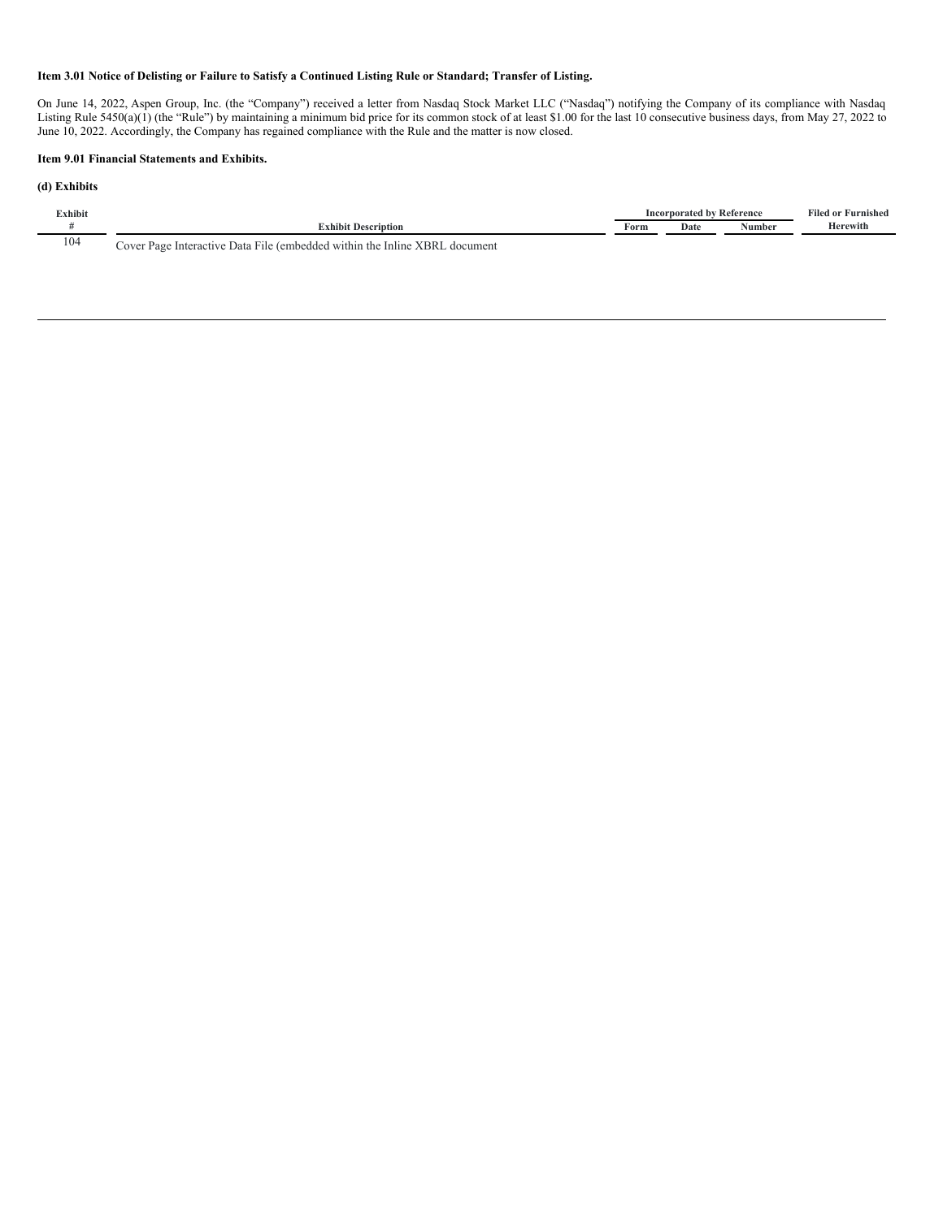## Item 3.01 Notice of Delisting or Failure to Satisfy a Continued Listing Rule or Standard; Transfer of Listing.

On June 14, 2022, Aspen Group, Inc. (the "Company") received a letter from Nasdaq Stock Market LLC ("Nasdaq") notifying the Company of its compliance with Nasdaq Listing Rule 5450(a)(1) (the "Rule") by maintaining a minimum bid price for its common stock of at least \$1.00 for the last 10 consecutive business days, from May 27, 2022 to June 10, 2022. Accordingly, the Company has regained compliance with the Rule and the matter is now closed.

#### **Item 9.01 Financial Statements and Exhibits.**

#### **(d) Exhibits**

| $\nabla$ xhibit |                                                                                              |      | <sup>,</sup> Reference<br>ornorated by | ----<br>Viled or Furnished |          |
|-----------------|----------------------------------------------------------------------------------------------|------|----------------------------------------|----------------------------|----------|
|                 | <b>Exhibit Description</b>                                                                   | Form | Date                                   | lumber                     | Herewith |
| 104             | a File (embedded within the Inline XBRL<br>Data.<br>document<br>Interactive<br>Cover<br>Page |      |                                        |                            |          |